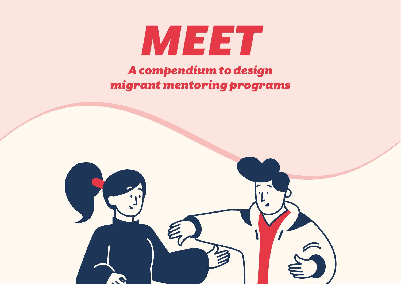

# *A compendium to design migrant mentoring programs*

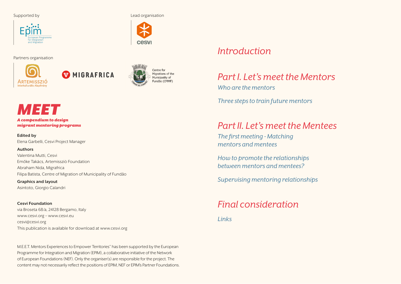#### Supported by **Lead organisation**



Partners organisation



MIGRAFRICA



**CASV** 

# *MEET*

*A compendium to design migrant mentoring programs*

**Edited by** Elena Garbelli, Cesvi Project Manager

#### **Authors**

Valentina Mutti, Cesvi Emőke Takács, Artemissziò Foundation Abraham Nida, Migrafrica Filipa Batista, Centre of Migration of Municipality of Fundão

**Graphics and layout** Asintoto, Giorgio Calandri

**Cesvi Foundation** via Broseta 68/a, 24128 Bergamo, Italy www.cesvi.org – www.cesvi.eu cesvi@cesvi.org This publication is available for download at www.cesvi.org

M.E.E.T. Mentors Experiences to Empower Territories" has been supported by the European Programme for Integration and Migration (EPIM), a collaborative initiative of the Network of European Foundations (NEF). Only the organiser(s) are responsible for the project. The content may not necessarily reflect the positions of EPIM, NEF or EPIM's Partner Foundations.

#### *[Introduction](#page-2-0)*

#### *[Part I. Let's meet the Mentors](#page-4-0)*

*[Who are the mentors](#page-5-0)*

*[Three steps to train future mentors](#page-6-0)*

#### *[Part II. Let's meet the Mentees](#page-9-0)*

*[The first meeting - Matching](#page-10-0)  [mentors and mentees](#page-10-0)*

*[How to promote the relationships](#page-11-0)  [between mentors and mentees?](#page-11-0)*

*[Supervising mentoring relationships](#page-11-0)*

#### *[Final consideration](#page-13-0)*

*[Links](#page-13-0)*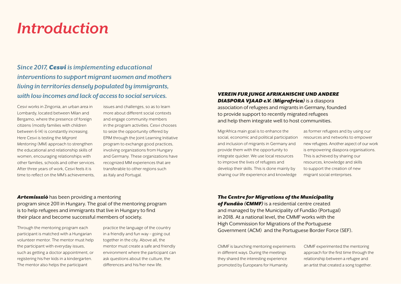# <span id="page-2-0"></span>*Introduction*

*Since 2017, Cesvi is implementing educational interventions to support migrant women and mothers living in territories densely populated by immigrants, with low incomes and lack of access to social services.* 

Cesvi works in Zingonia, an urban area in Lombardy, located between Milan and Bergamo, where the presence of foreign citizens (mostly families with children between 6-14) is constantly increasing. Here Cesvi is testing the *Migrant Mentoring* (MM) approach to strengthen the educational and relationship skills of women, encouraging relationships with other families, schools and other services. After three years of work, Cesvi feels it is time to reflect on the MM's achievements,

issues and challenges, so as to learn more about different social contexts and engage community members in the program activities. Cesvi chooses to seize the opportunity offered by EPIM through the Joint Learning Initiative program to exchange good practices, involving organizations from Hungary and Germany. These organizations have recognized MM experiences that are transferable to other regions such as Italy and Portugal.

#### *VEREIN FUR JUNGE AFRIKANISCHE UND ANDERE DIASPORA VJAAD e.V. (Migrafrica)* is a diaspora association of refugees and migrants in Germany, founded to provide support to recently migrated refugees and help them integrate well to host communities.

MigrAfrica main goal is to enhance the social, economic and political participation and inclusion of migrants in Germany and provide them with the opportunity to integrate quicker. We use local resources to improve the lives of refugees and develop their skills. This is done mainly by sharing our life experience and knowledge

as former refugees and by using our resources and networks to empower new refugees. Another aspect of our work is empowering diaspora organisations. This is achieved by sharing our resources, knowledge and skills to support the creation of new migrant social enterprises.

*Artemissziò* has been providing a mentoring program since 2011 in Hungary. The goal of the mentoring program is to help refugees and immigrants that live in Hungary to find their place and become successful members of society.

Through the mentoring program each participant is matched with a Hungarian volunteer mentor. The mentor must help the participant with everyday issues, such as getting a doctor appointment, or registering his/her kids in a kindergarten. The mentor also helps the participant

practice the language of the country in a friendly and fun way – going out together in the city. Above all, the mentor must create a safe and friendly environment where the participant can ask questions about the culture, the differences and his/her new life.

#### *The Centre for Migrations of the Municipality*

*of Fundão (CMMF)* is a residential centre created and managed by the Municipality of Fundão (Portugal) in 2018. At a national level, the CMMF works with the High Commission for Migrations of the Portuguese Government (ACM) and the Portuguese Border Force (SEF).

CMMF is launching mentoring experiments in different ways. During the meetings they shared the interesting experience promoted by Europeans for Humanity.

CMMF experimented the mentoring approach for the first time through the relationship between a refugee and an artist that created a song together.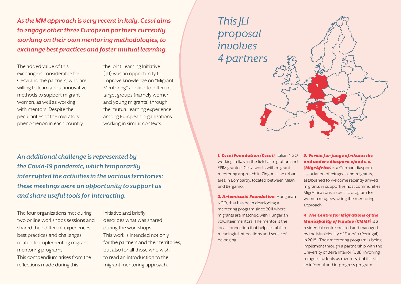*As the MM approach is very recent in Italy, Cesvi aims to engage other three European partners currently working on their own mentoring methodologies, to exchange best practices and foster mutual learning.* 

The added value of this exchange is considerable for Cesvi and the partners, who are willing to learn about innovative methods to support migrant women, as well as working with mentors. Despite the peculiarities of the migratory phenomenon in each country,

the Joint Learning Initiative ( JLI) was an opportunity to improve knowledge on "Migrant Mentoring" applied to different target groups (namely women and young migrants) through the mutual learning experience among European organizations working in similar contexts.

*An additional challenge is represented by the Covid-19 pandemic, which temporarily interrupted the activities in the various territories: these meetings were an opportunity to support us and share useful tools for interacting.* 

The four organizations met during two online workshops sessions and shared their different experiences, best practices and challenges related to implementing migrant mentoring programs.

This compendium arises from the reflections made during this

initiative and briefly describes what was shared during the workshops. This work is intended not only for the partners and their territories, but also for all those who wish to read an introduction to the migrant mentoring approach.

*1. Cesvi Foundation (Cesvi)*, Italian NGO working in Italy in the field of migration and EPIM grantee. Cesvi works with migrant mentoring approach in Zingonia, an urban area in Lombardy, located between Milan and Bergamo.

*2. Artemisszió Foundation*, Hungarian NGO, that has been developing a mentoring program since 2011 where migrants are matched with Hungarian volunteer mentors. The mentor is the local connection that helps establish meaningful interactions and sense of belonging.

#### *3. Verein fur junge afrikanische und andere diaspora vjaad e.v.*

*(MigrAfrica)* is a German diaspora association of refugees and migrants, established to welcome recently arrived migrants in supportive host communities. MigrAfrica runs a specific program for women refugees, using the mentoring approach.

#### *4. The Centre for Migrations of the Municipality of Fundão (CMMF)* is a

residential centre created and managed by the Municipality of Fundão (Portugal) in 2018. Their mentoring program is being implement through a partnership with the University of Beira Interior (UBI), involving refugee students as mentors, but it is still an informal and in-progress program.

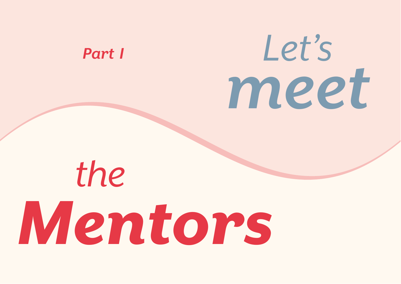# <span id="page-4-0"></span>*Part I*

# *Let's meet*

# *Mentors the*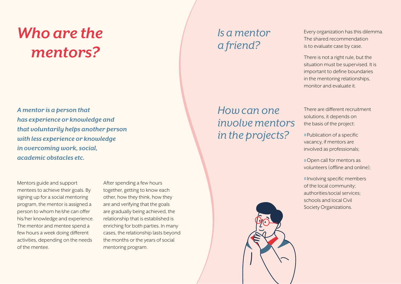# <span id="page-5-0"></span>*Who are the mentors?*

*A mentor is a person that has experience or knowledge and that voluntarily helps another person with less experience or knowledge in overcoming work, social, academic obstacles etc.*

Mentors guide and support mentees to achieve their goals. By signing up for a social mentoring program, the mentor is assigned a person to whom he/she can offer his/her knowledge and experience. The mentor and mentee spend a few hours a week doing different activities, depending on the needs of the mentee.

After spending a few hours together, getting to know each other, how they think, how they are and verifying that the goals are gradually being achieved, the relationship that is established is enriching for both parties. In many cases, the relationship lasts beyond the months or the years of social mentoring program.

# *Is a mentor a friend?*

Every organization has this dilemma. The shared recommendation is to evaluate case by case.

There is not a right rule, but the situation must be supervised. It is important to define boundaries in the mentoring relationships, monitor and evaluate it.

There are different recruitment solutions, it depends on the basis of the project:

**Publication of a specific** vacancy, if mentors are involved as professionals;

**Open call for mentors as** volunteers (offline and online);

**Involving specific members** of the local community; authorities/social services; schools and local Civil Society Organizations.

*How can one involve mentors in the projects?* 

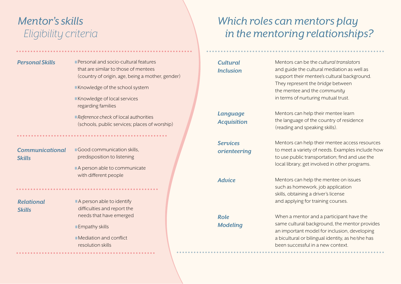# <span id="page-6-0"></span>*Mentor's skills Eligibility criteria*

- **Personal Skills Personal and socio-cultural features** that are similar to those of mentees (country of origin, age, being a mother, gender)
	- **Knowledge of the school system**
	- Knowledge of local services regarding families
	- **Reference check of local authorities** (schools, public services; places of worship)

#### *Communicational Skills*

**Good communication skills.** predisposition to listening

A person able to communicate with different people

#### *Relational Skills*

A person able to identify difficulties and report the needs that have emerged

**Empathy skills** 

**I** Mediation and conflict resolution skills

# *Which roles can mentors play in the mentoring relationships?*

#### *Cultural Inclusion*

Mentors can be the *cultural translators* and guide the cultural mediation as well as support their mentee's cultural background. They represent the *bridge* between the mentee and the *community* in terms of nurturing mutual trust.

Mentors can help their mentee learn the language of the country of residence (reading and speaking skills).

*Services orienteering*

*Language Acquisition*

> Mentors can help their mentee access resources to meet a variety of needs. Examples include how to use public transportation; find and use the local library; get involved in other programs.

*Role Modeling*

**Advice** Mentors can help the mentee on issues such as homework, job application skills, obtaining a driver's license and applying for training courses.

> When a mentor and a participant have the same cultural background, the mentor provides an important model for inclusion, developing a bicultural or bilingual identity, as he/she has been successful in a new context.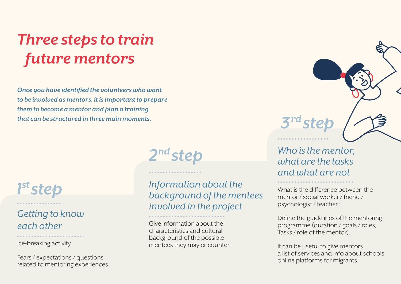# *Three steps to train future mentors*

*Once you have identified the volunteers who want to be involved as mentors, it is important to prepare them to become a mentor and plan a training that can be structured in three main moments.*



### *Getting to know each other*

Ice-breaking activity.

Fears / expectations / questions related to mentoring experiences. *2nd step*

*Information about the background of the mentees involved in the project*

Give information about the characteristics and cultural background of the possible mentees they may encounter. *Who is the mentor, what are the tasks and what are not*

*3rd step*

What is the difference between the mentor / social worker / friend / psychologist / teacher?

Define the guidelines of the mentoring programme (duration / goals / roles, Tasks / role of the mentor).

It can be useful to give mentors a list of services and info about schools; online platforms for migrants.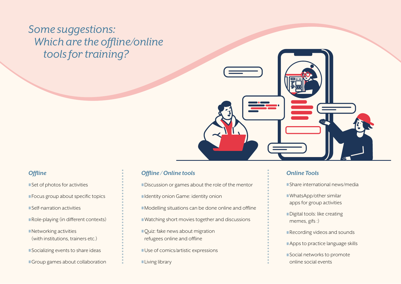# *Some suggestions: Which are the offline/online tools for training?*



#### *Offline*

 $\blacksquare$  Set of photos for activities **Focus group about specific topics Self-narration activities Role-playing (in different contexts)**  $\blacksquare$  Networking activities (with institutions, trainers etc.) **Socializing events to share ideas Group games about collaboration** 

#### *Offline / Online tools*

**Discussion or games about the role of the mentor I** Identity onion Game: identity onion **I** Modelling situations can be done online and offline ■ Watching short movies together and discussions **Quiz:** fake news about migration refugees online and offline Use of comics/artistic expressions **Living library** 

#### *Online Tools*

**Share international news/media** 

- **WhatsApp/other similar** apps for group activities
- **Digital tools: like creating** memes, gifs :)
- **Recording videos and sounds**
- **Apps to practice language skills**
- **Social networks to promote** online social events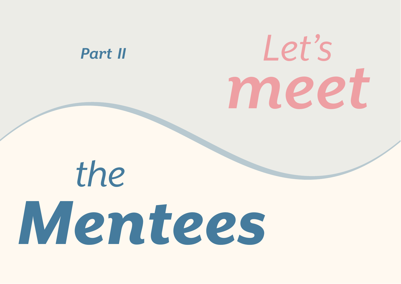<span id="page-9-0"></span>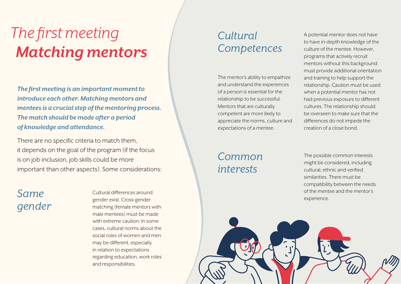# <span id="page-10-0"></span>*The first meeting Matching mentors*

*The first meeting is an important moment to introduce each other. Matching mentors and mentees is a crucial step of the mentoring process. The match should be made after a period of knowledge and attendance.* 

There are no specific criteria to match them, it depends on the goal of the program (if the focus is on job inclusion, job skills could be more important than other aspects). Some considerations:

# *Same gender*

Cultural differences around gender exist. Cross-gender matching (female mentors with male mentees) must be made with extreme caution. In some cases, cultural norms about the social roles of women and men may be different, especially in relation to expectations regarding education, work roles and responsibilities.

# *Cultural Competences*

The mentor's ability to empathize and understand the experiences of a person is essential for the relationship to be successful. Mentors that are culturally competent are more likely to appreciate the norms, culture and expectations of a mentee.

## *Common interests*

A potential mentor does not have to have in-depth knowledge of the culture of the mentee. However, programs that actively recruit mentors without this background must provide additional orientation and training to help support the relationship. Caution must be used when a potential mentor has not had previous exposure to different cultures. The relationship should be overseen to make sure that the differences do not impede the creation of a close bond.

The possible common interests might be considered, including cultural, ethnic and verified similarities. There must be compatibility between the needs of the mentee and the mentor's experience.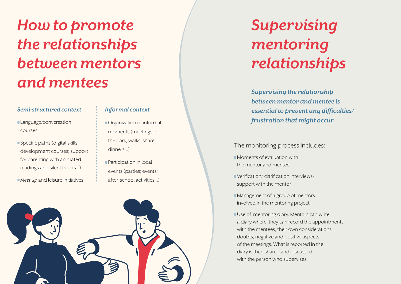# <span id="page-11-0"></span>*How to promote the relationships between mentors and mentees*

#### *Semi-structured context*

- **Language/conversation** courses
- **Specific paths (digital skills;** development courses; support for parenting with animated readings and silent books…)
- *Meet up* and leisure initiatives

#### *Informal context*

- **C**rganization of informal moments (meetings in the park; walks; shared dinners...)
- **Participation in local** events (parties; events; after-school activities...)



# *Supervising mentoring relationships*

*Supervising the relationship between mentor and mentee is essential to prevent any difficulties/ frustration that might occur.* 

The monitoring process includes:

- **I** Moments of evaluation with the mentor and mentee
- **Verification/ clarification interviews/** support with the mentor
- **I** Management of a group of mentors involved in the mentoring project
- **Use of mentoring diary. Mentors can write** a diary where they can record the appointments with the mentees, their own considerations, doubts, negative and positive aspects of the meetings. What is reported in the diary is then shared and discussed with the person who supervises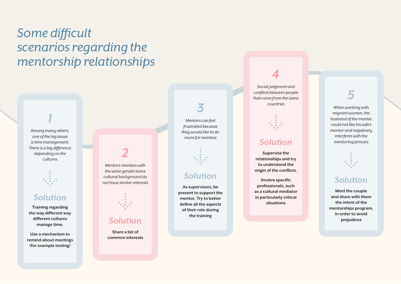# *Some difficult scenarios regarding the mentorship relationships*

*Among many others, one of the big issues is time management. There is a big difference depending on the cultures*

*1*



#### *Solution*

**Training regarding the way different way different cultures manage time.**

**Use a mechanism to remind about meetings (for example texting)**

# *2*

*Mentors-mentees with the same gender/same cultural background do not have similar interests* 



#### *Solution*

**Share a list of common interests**

# *3*

*Mentors can feel frustrated because they would like to do more for mentees*



#### *Solution*

**As supervisors, be present to support the mentor. Try to better define all the aspects of their role during the training**

# *4*

*Social judgment and conflicts between people that come from the same countries*



#### *Solution*

**Supervise the relationships and try to understand the origin of the conflicts.**

**Involve specific professionals, such as a cultural mediator in particularly critical situations**

# *5*

*When working with migrant women, the husband of the mentee could not like his wife's mentor and negatively interferes with the mentoring process*



#### *Solution*

**Meet the couple and share with them the intent of the mentorships program, in order to avoid prejudices**